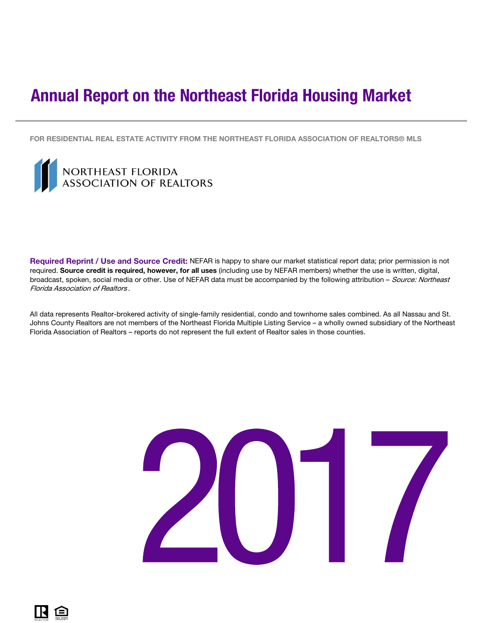# <span id="page-0-0"></span>Annual Report on the Northeast Florida Housing Market

FOR RESIDENTIAL REAL ESTATE ACTIVITY FROM THE NORTHEAST FLORIDA ASSOCIATION OF REALTORS® MLS



IN E

Required Reprint / Use and Source Credit: NEFAR is happy to share our market statistical report data; prior permission is not required. Source credit is required, however, for all uses (including use by NEFAR members) whether the use is written, digital, broadcast, spoken, social media or other. Use of NEFAR data must be accompanied by the following attribution - Source: Northeast Florida Association of Realtors .

All data represents Realtor-brokered activity of single-family residential, condo and townhome sales combined. As all Nassau and St. Johns County Realtors are not members of the Northeast Florida Multiple Listing Service – a wholly owned subsidiary of the Northeast Florida Association of Realtors – reports do not represent the full extent of Realtor sales in those counties.

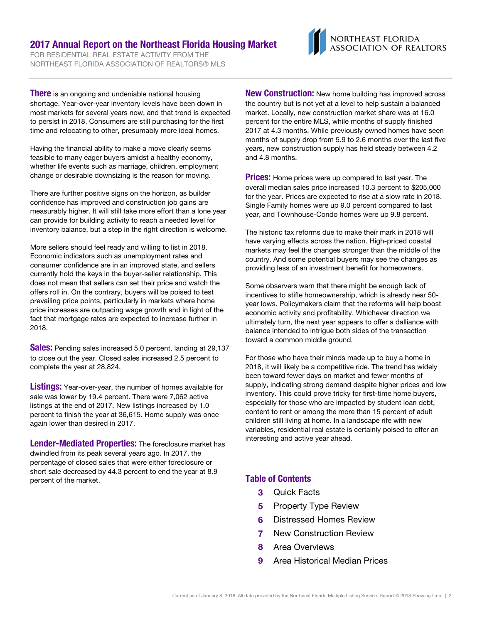### 2017 Annual Report on the Northeast Florida Housing Market

FOR RESIDENTIAL REAL ESTATE ACTIVITY FROM THE NORTHEAST FLORIDA ASSOCIATION OF REALTORS® MLS



**There** is an ongoing and undeniable national housing shortage. Year-over-year inventory levels have been down in most markets for several years now, and that trend is expected to persist in 2018. Consumers are still purchasing for the first time and relocating to other, presumably more ideal homes.

Having the financial ability to make a move clearly seems feasible to many eager buyers amidst a healthy economy, whether life events such as marriage, children, employment change or desirable downsizing is the reason for moving.

There are further positive signs on the horizon, as builder confidence has improved and construction job gains are measurably higher. It will still take more effort than a lone year can provide for building activity to reach a needed level for inventory balance, but a step in the right direction is welcome.

More sellers should feel ready and willing to list in 2018. Economic indicators such as unemployment rates and consumer confidence are in an improved state, and sellers currently hold the keys in the buyer-seller relationship. This does not mean that sellers can set their price and watch the offers roll in. On the contrary, buyers will be poised to test prevailing price points, particularly in markets where home price increases are outpacing wage growth and in light of the fact that mortgage rates are expected to increase further in 2018.

**Sales:** Pending sales increased 5.0 percent, landing at 29,137 to close out the year. Closed sales increased 2.5 percent to complete the year at 28,824.

**Listings:** Year-over-year, the number of homes available for sale was lower by 19.4 percent. There were 7,062 active listings at the end of 2017. New listings increased by 1.0 percent to finish the year at 36,615. Home supply was once again lower than desired in 2017.

Lender-Mediated Properties: The foreclosure market has dwindled from its peak several years ago. In 2017, the percentage of closed sales that were either foreclosure or short sale decreased by 44.3 percent to end the year at 8.9 percent of the market.

**New Construction:** New home building has improved across the country but is not yet at a level to help sustain a balanced market. Locally, new construction market share was at 16.0 percent for the entire MLS, while months of supply finished 2017 at 4.3 months. While previously owned homes have seen months of supply drop from 5.9 to 2.6 months over the last five years, new construction supply has held steady between 4.2 and 4.8 months.

**Prices:** Home prices were up compared to last year. The overall median sales price increased 10.3 percent to \$205,000 for the year. Prices are expected to rise at a slow rate in 2018. Single Family homes were up 9.0 percent compared to last year, and Townhouse-Condo homes were up 9.8 percent.

The historic tax reforms due to make their mark in 2018 will have varying effects across the nation. High-priced coastal markets may feel the changes stronger than the middle of the country. And some potential buyers may see the changes as providing less of an investment benefit for homeowners.

Some observers warn that there might be enough lack of incentives to stifle homeownership, which is already near 50 year lows. Policymakers claim that the reforms will help boost economic activity and profitability. Whichever direction we ultimately turn, the next year appears to offer a dalliance with balance intended to intrigue both sides of the transaction toward a common middle ground.

For those who have their minds made up to buy a home in 2018, it will likely be a competitive ride. The trend has widely been toward fewer days on market and fewer months of supply, indicating strong demand despite higher prices and low inventory. This could prove tricky for first-time home buyers, especially for those who are impacted by student loan debt, content to rent or among the more than 15 percent of adult children still living at home. In a landscape rife with new variables, residential real estate is certainly poised to offer an interesting and active year ahead.

### Table of Contents

- 3 Quick Facts
- **5** Property Type Review
- 6 Distressed Homes Review
- 7 New Construction Review
- 8 Area Overviews
- 9 Area Historical Median Prices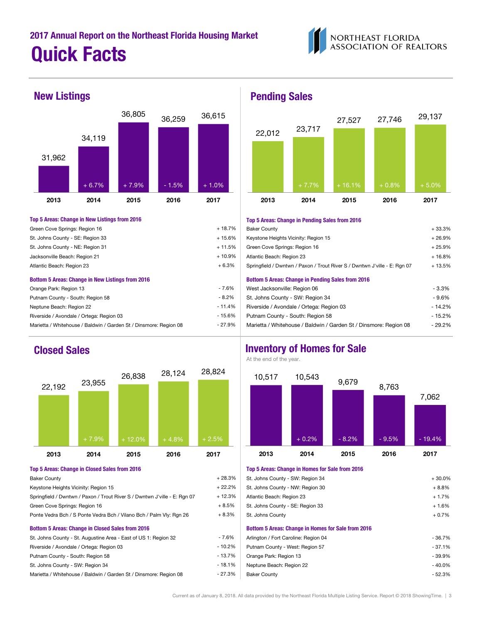



### Top 5 Areas: Change in New Listings from 2016

| Green Cove Springs: Region 16                           | $+18.7%$ |
|---------------------------------------------------------|----------|
| St. Johns County - SE: Region 33                        | $+15.6%$ |
| St. Johns County - NE: Region 31                        | $+11.5%$ |
| Jacksonville Beach: Region 21                           | $+10.9%$ |
| Atlantic Beach: Region 23                               | $+6.3%$  |
| <b>Bottom 5 Areas: Change in New Listings from 2016</b> |          |
| Orange Park: Region 13                                  | $-7.6%$  |
| Putnam County - South: Region 58                        | $-8.2%$  |
| Neptune Beach: Region 22                                | $-11.4%$ |
| Riverside / Avondale / Ortega: Region 03                | $-15.6%$ |



| <b>Baker County</b>                                                       | $+28.3%$ | St. Johns County - SW: Region 34                          |
|---------------------------------------------------------------------------|----------|-----------------------------------------------------------|
| Keystone Heights Vicinity: Region 15                                      | $+22.2%$ | St. Johns County - NW: Region 30                          |
| Springfield / Dwntwn / Paxon / Trout River S / Dwntwn J'ville - E: Rgn 07 | $+12.3%$ | Atlantic Beach: Region 23                                 |
| Green Cove Springs: Region 16                                             | $+8.5%$  | St. Johns County - SE: Region 33                          |
| Ponte Vedra Bch / S Ponte Vedra Bch / Vilano Bch / Palm Vly: Rgn 26       | $+8.3%$  | St. Johns County                                          |
| <b>Bottom 5 Areas: Change in Closed Sales from 2016</b>                   |          | <b>Bottom 5 Areas: Change in Homes for Sale from 2016</b> |
| St. Johns County - St. Augustine Area - East of US 1: Region 32           | $-7.6%$  | Arlington / Fort Caroline: Region 04                      |
| Riverside / Avondale / Ortega: Region 03                                  | $-10.2%$ | Putnam County - West: Region 57                           |
| Putnam County - South: Region 58                                          | $-13.7%$ | Orange Park: Region 13                                    |
| St. Johns County - SW: Region 34                                          | - 18.1%  | Neptune Beach: Region 22                                  |
| Marietta / Whitehouse / Baldwin / Garden St / Dinsmore: Region 08         | - 27.3%  | <b>Baker County</b>                                       |
|                                                                           |          |                                                           |

### New Listings **Pending Sales**



### Top 5 Areas: Change in Pending Sales from 2016

| Green Cove Springs: Region 16                                     | $+18.7%$ | <b>Baker County</b>                                                       | $+33.3%$ |
|-------------------------------------------------------------------|----------|---------------------------------------------------------------------------|----------|
| St. Johns County - SE: Region 33                                  | + 15.6%  | Keystone Heights Vicinity: Region 15                                      | $+26.9%$ |
| St. Johns County - NE: Region 31                                  | $+11.5%$ | Green Cove Springs: Region 16                                             | $+25.9%$ |
| Jacksonville Beach: Region 21                                     | $+10.9%$ | Atlantic Beach: Region 23                                                 | $+16.8%$ |
| Atlantic Beach: Region 23                                         | $+6.3%$  | Springfield / Dwntwn / Paxon / Trout River S / Dwntwn J'ville - E: Rgn 07 | $+13.5%$ |
| <b>Bottom 5 Areas: Change in New Listings from 2016</b>           |          | <b>Bottom 5 Areas: Change in Pending Sales from 2016</b>                  |          |
| Orange Park: Region 13                                            | - 7.6%   | West Jacksonville: Region 06                                              | - 3.3%   |
| Putnam County - South: Region 58                                  | - 8.2%   | St. Johns County - SW: Region 34                                          | - 9.6%   |
| Neptune Beach: Region 22                                          | - 11.4%  | Riverside / Avondale / Ortega: Region 03                                  | $-14.2%$ |
| Riverside / Avondale / Ortega: Region 03                          | - 15.6%  | Putnam County - South: Region 58                                          | $-15.2%$ |
| Marietta / Whitehouse / Baldwin / Garden St / Dinsmore: Region 08 | - 27.9%  | Marietta / Whitehouse / Baldwin / Garden St / Dinsmore: Region 08         | $-29.2%$ |

### **Closed Sales Inventory of Homes for Sale**

At the end of the year.



### Top 5 Areas: Change in Closed Sales from 2016 Top 5 Areas: Change in Homes for Sale from 2016

| <b>Baker County</b>                                                       | $+28.3%$ | St. Johns County - SW: Region 34                          | $+30.0%$ |
|---------------------------------------------------------------------------|----------|-----------------------------------------------------------|----------|
| Keystone Heights Vicinity: Region 15                                      | $+22.2%$ | St. Johns County - NW: Region 30                          | $+8.8%$  |
| Springfield / Dwntwn / Paxon / Trout River S / Dwntwn J'ville - E: Rgn 07 | + 12.3%  | Atlantic Beach: Region 23                                 | $+1.7%$  |
| Green Cove Springs: Region 16                                             | $+8.5%$  | St. Johns County - SE: Region 33                          | $+1.6%$  |
| Ponte Vedra Bch / S Ponte Vedra Bch / Vilano Bch / Palm Vly: Rqn 26       | $+8.3%$  | St. Johns County                                          | $+0.7%$  |
| <b>Bottom 5 Areas: Change in Closed Sales from 2016</b>                   |          | <b>Bottom 5 Areas: Change in Homes for Sale from 2016</b> |          |
| St. Johns County - St. Augustine Area - East of US 1: Region 32           | - 7.6%   | Arlington / Fort Caroline: Region 04                      | $-36.7%$ |
| Riverside / Avondale / Ortega: Region 03                                  | - 10.2%  | Putnam County - West: Region 57                           | $-37.1%$ |
| Putnam County - South: Region 58                                          | - 13.7%  | Orange Park: Region 13                                    | $-39.9%$ |
| St. Johns County - SW: Region 34                                          | - 18.1%  | Neptune Beach: Region 22                                  | $-40.0%$ |
| Marietta / Whitehouse / Baldwin / Garden St / Dinsmore: Region 08         | - 27.3%  | <b>Baker County</b>                                       | $-52.3%$ |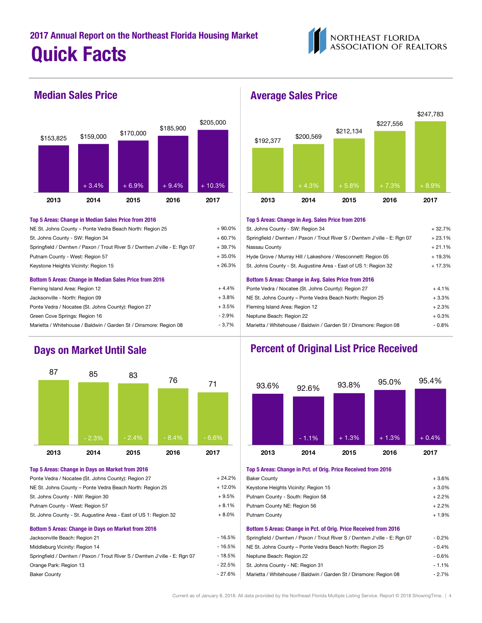



| NE St. Johns County - Ponte Vedra Beach North: Region 25                  | $+90.0\%$ | St. Johns County - SW: Region 34                            |
|---------------------------------------------------------------------------|-----------|-------------------------------------------------------------|
| St. Johns County - SW: Region 34                                          | $+60.7%$  | Springfield / Dwntwn / Paxon / Trout River S / Dwntwn J     |
| Springfield / Dwntwn / Paxon / Trout River S / Dwntwn J'ville - E: Rgn 07 | $+39.7%$  | Nassau County                                               |
| Putnam County - West: Region 57                                           | $+35.0%$  | Hyde Grove / Murray Hill / Lakeshore / Wesconnett: Rec      |
| Keystone Heights Vicinity: Region 15                                      | $+26.3%$  | St. Johns County - St. Augustine Area - East of US 1: Re    |
| Bottom 5 Areas: Change in Median Sales Price from 2016                    |           | <b>Bottom 5 Areas: Change in Avg. Sales Price from 2016</b> |
| Fleming Island Area: Region 12                                            | $+4.4%$   | Ponte Vedra / Nocatee (St. Johns County): Region 27         |
| Jacksonville - North: Region 09                                           | $+3.8\%$  | NE St. Johns County - Ponte Vedra Beach North: Regio        |
|                                                                           |           |                                                             |

| JACKSUNIVIIIE - INUNIII. FIEUIUN US                               | ⊤ ∪.∪ ∕⊍ |
|-------------------------------------------------------------------|----------|
| Ponte Vedra / Nocatee (St. Johns County): Region 27               | $+3.5%$  |
| Green Cove Springs: Region 16                                     | $-2.9%$  |
| Marietta / Whitehouse / Baldwin / Garden St / Dinsmore: Region 08 | $-3.7%$  |
|                                                                   |          |



| Ponte Vedra / Nocatee (St. Johns County): Region 27                       | $+24.2%$  | <b>Baker County</b>                                                  |
|---------------------------------------------------------------------------|-----------|----------------------------------------------------------------------|
| NE St. Johns County - Ponte Vedra Beach North: Region 25                  | $+12.0\%$ | Keystone Heights Vicinity: Region 15                                 |
| St. Johns County - NW: Region 30                                          | $+9.5%$   | Putnam County - South: Region 58                                     |
| Putnam County - West: Region 57                                           | $+8.1%$   | Putnam County NE: Region 56                                          |
| St. Johns County - St. Augustine Area - East of US 1: Region 32           | $+8.0\%$  | <b>Putnam County</b>                                                 |
| Bottom 5 Areas: Change in Days on Market from 2016                        |           | Bottom 5 Areas: Change in Pct. of Orig. Price Received from 2016     |
| Jacksonville Beach: Region 21                                             | - 16.5%   | Springfield / Dwntwn / Paxon / Trout River S / Dwntwn J'ville - E: R |
| Middleburg Vicinity: Region 14                                            | - 16.5%   | NE St. Johns County - Ponte Vedra Beach North: Region 25             |
| Springfield / Dwntwn / Paxon / Trout River S / Dwntwn J'ville - E: Rgn 07 | $-18.5%$  | Neptune Beach: Region 22                                             |

### Median Sales Price **Average Sales Price**



### Top 5 Areas: Change in Median Sales Price from 2016 Top 5 Areas: Change in Avg. Sales Price from 2016

| NE St. Johns County – Ponte Vedra Beach North: Region 25                  | $+90.0\%$ | St. Johns County - SW: Region 34                                          | $+32.7%$ |
|---------------------------------------------------------------------------|-----------|---------------------------------------------------------------------------|----------|
| St. Johns County - SW: Region 34                                          | $+60.7%$  | Springfield / Dwntwn / Paxon / Trout River S / Dwntwn J'ville - E: Rgn 07 | $+23.1%$ |
| Springfield / Dwntwn / Paxon / Trout River S / Dwntwn J'ville - E: Rgn 07 | $+39.7%$  | Nassau County                                                             | $+21.1%$ |
| Putnam County - West: Region 57                                           | $+35.0%$  | Hyde Grove / Murray Hill / Lakeshore / Wesconnett: Region 05              | $+19.3%$ |
| Keystone Heights Vicinity: Region 15                                      | $+26.3%$  | St. Johns County - St. Augustine Area - East of US 1: Region 32           | $+17.3%$ |
| Bottom 5 Areas: Change in Median Sales Price from 2016                    |           | Bottom 5 Areas: Change in Avg. Sales Price from 2016                      |          |
| Fleming Island Area: Region 12                                            | $+4.4%$   | Ponte Vedra / Nocatee (St. Johns County): Region 27                       | $+4.1%$  |
| Jacksonville - North: Region 09                                           | $+3.8%$   | NE St. Johns County - Ponte Vedra Beach North: Region 25                  | $+3.3%$  |
| Ponte Vedra / Nocatee (St. Johns County): Region 27                       | $+3.5%$   | Fleming Island Area: Region 12                                            | $+2.3%$  |
| Green Cove Springs: Region 16                                             | - 2.9%    | Neptune Beach: Region 22                                                  | $+0.3\%$ |
| Marietta / Whitehouse / Baldwin / Garden St / Dinsmore: Region 08         | - 3.7%    | Marietta / Whitehouse / Baldwin / Garden St / Dinsmore: Region 08         | - 0.8%   |

## Days on Market Until Sale **Percent of Original List Price Received**



### Top 5 Areas: Change in Days on Market from 2016 Top 5 Areas: Change in Pct. of Orig. Price Received from 2016

| Ponte Vedra / Nocatee (St. Johns County): Region 27                       | $+24.2%$ | <b>Baker County</b>                                                       | $+3.6%$ |
|---------------------------------------------------------------------------|----------|---------------------------------------------------------------------------|---------|
| NE St. Johns County – Ponte Vedra Beach North: Region 25                  | + 12.0%  | Keystone Heights Vicinity: Region 15                                      | $+3.0%$ |
| St. Johns County - NW: Region 30                                          | $+9.5%$  | Putnam County - South: Region 58                                          | $+2.2%$ |
| Putnam County - West: Region 57                                           | $+8.1%$  | Putnam County NE: Region 56                                               | $+2.2%$ |
| St. Johns County - St. Augustine Area - East of US 1: Region 32           | $+8.0\%$ | <b>Putnam County</b>                                                      | $+1.9%$ |
| Bottom 5 Areas: Change in Days on Market from 2016                        |          | Bottom 5 Areas: Change in Pct. of Orig. Price Received from 2016          |         |
| Jacksonville Beach: Region 21                                             | - 16.5%  | Springfield / Dwntwn / Paxon / Trout River S / Dwntwn J'ville - E: Rgn 07 | $-0.2%$ |
| Middleburg Vicinity: Region 14                                            | - 16.5%  | NE St. Johns County - Ponte Vedra Beach North: Region 25                  | $-0.4%$ |
| Springfield / Dwntwn / Paxon / Trout River S / Dwntwn J'ville - E: Rgn 07 | - 18.5%  | Neptune Beach: Region 22                                                  | $-0.6%$ |
| Orange Park: Region 13                                                    | - 22.5%  | St. Johns County - NE: Region 31                                          | $-1.1%$ |
| <b>Baker County</b>                                                       | - 27.6%  | Marietta / Whitehouse / Baldwin / Garden St / Dinsmore: Region 08         | $-2.7%$ |
|                                                                           |          |                                                                           |         |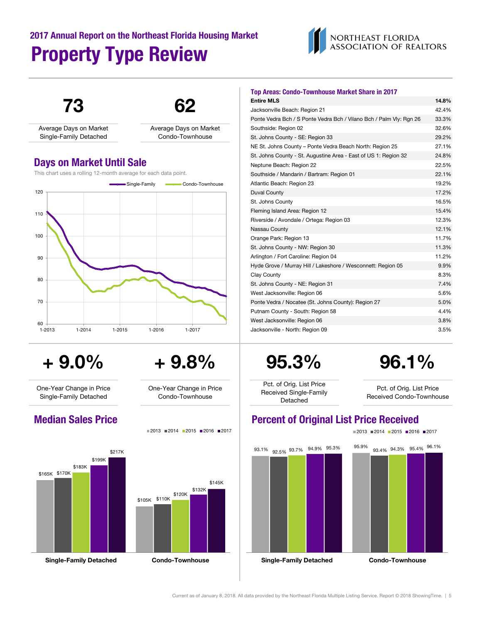# 2017 Annual Report on the Northeast Florida Housing Market Property Type Review





 $+9.0\%$   $+9.8\%$  95.3% 96.1%

One-Year Change in Price Single-Family Detached



\$105K \$110K \$120K \$132K \$145K

| <b>Top Areas: Condo-Townhouse Market Share in 2017</b>              |       |
|---------------------------------------------------------------------|-------|
| <b>Entire MLS</b>                                                   | 14.8% |
| Jacksonville Beach: Region 21                                       | 42.4% |
| Ponte Vedra Bch / S Ponte Vedra Bch / Vilano Bch / Palm Vly: Rgn 26 | 33.3% |
| Southside: Region 02                                                | 32.6% |
| St. Johns County - SE: Region 33                                    | 29.2% |
| NE St. Johns County - Ponte Vedra Beach North: Region 25            | 27.1% |
| St. Johns County - St. Augustine Area - East of US 1: Region 32     | 24.8% |
| Neptune Beach: Region 22                                            | 22.5% |
| Southside / Mandarin / Bartram: Region 01                           | 22.1% |
| Atlantic Beach: Region 23                                           | 19.2% |
| <b>Duval County</b>                                                 | 17.2% |
| St. Johns County                                                    | 16.5% |
| Fleming Island Area: Region 12                                      | 15.4% |
| Riverside / Avondale / Ortega: Region 03                            | 12.3% |
| Nassau County                                                       | 12.1% |
| Orange Park: Region 13                                              | 11.7% |
| St. Johns County - NW: Region 30                                    | 11.3% |
| Arlington / Fort Caroline: Region 04                                | 11.2% |
| Hyde Grove / Murray Hill / Lakeshore / Wesconnett: Region 05        | 9.9%  |
| Clay County                                                         | 8.3%  |
| St. Johns County - NE: Region 31                                    | 7.4%  |
| West Jacksonville: Region 06                                        | 5.6%  |
| Ponte Vedra / Nocatee (St. Johns County): Region 27                 | 5.0%  |
| Putnam County - South: Region 58                                    | 4.4%  |
| West Jacksonville: Region 06                                        | 3.8%  |
| Jacksonville - North: Region 09                                     | 3.5%  |

Pct. of Orig. List Price Received Single-Family Detached

Pct. of Orig. List Price Received Condo-Townhouse

## Median Sales Price **Price Percent of Original List Price Received** Percent of Original List Price Received



Condo-Townhouse

One-Year Change in Price

 $2013$  2014 2015 2016 2017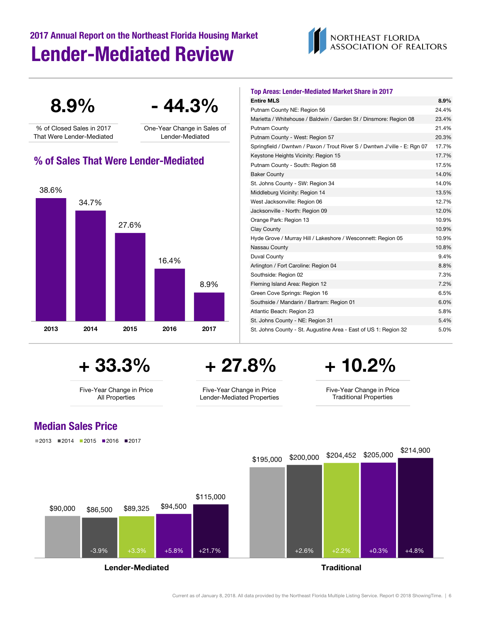# Lender-Mediated Review 2017 Annual Report on the Northeast Florida Housing Market



 $8.9\%$  - 44.3%

% of Closed Sales in 2017 That Were Lender-Mediated One-Year Change in Sales of Lender-Mediated

## % of Sales That Were Lender-Mediated



+ 33.3%

Five-Year Change in Price All Properties

# + 27.8%

Five-Year Change in Price Lender-Mediated Properties

| Putnam County NE: Region 56                                               | 24.4% |
|---------------------------------------------------------------------------|-------|
| Marietta / Whitehouse / Baldwin / Garden St / Dinsmore: Region 08         | 23.4% |
| Putnam County                                                             | 21.4% |
| Putnam County - West: Region 57                                           | 20.3% |
| Springfield / Dwntwn / Paxon / Trout River S / Dwntwn J'ville - E: Rgn 07 | 17.7% |
| Keystone Heights Vicinity: Region 15                                      | 17.7% |
| Putnam County - South: Region 58                                          | 17.5% |
| <b>Baker County</b>                                                       | 14.0% |
| St. Johns County - SW: Region 34                                          | 14.0% |
| Middleburg Vicinity: Region 14                                            | 13.5% |
| West Jacksonville: Region 06                                              | 12.7% |
| Jacksonville - North: Region 09                                           | 12.0% |
| Orange Park: Region 13                                                    | 10.9% |
| Clay County                                                               | 10.9% |
| Hyde Grove / Murray Hill / Lakeshore / Wesconnett: Region 05              | 10.9% |
| Nassau County                                                             | 10.8% |
| Duval County                                                              | 9.4%  |
| Arlington / Fort Caroline: Region 04                                      | 8.8%  |
| Southside: Region 02                                                      | 7.3%  |
| Fleming Island Area: Region 12                                            | 7.2%  |
| Green Cove Springs: Region 16                                             | 6.5%  |
| Southside / Mandarin / Bartram: Region 01                                 | 6.0%  |
| Atlantic Beach: Region 23                                                 | 5.8%  |
| St. Johns County - NE: Region 31                                          | 5.4%  |
| St. Johns County - St. Augustine Area - East of US 1: Region 32           | 5.0%  |

Entire MLS 8.9%

Top Areas: Lender-Mediated Market Share in 2017

+ 10.2%

Five-Year Change in Price Traditional Properties

## Median Sales Price

 $2013$  2014 2015 2016 2017



Current as of January 8, 2018. All data provided by the Northeast Florida Multiple Listing Service. Report © 2018 ShowingTime. | 6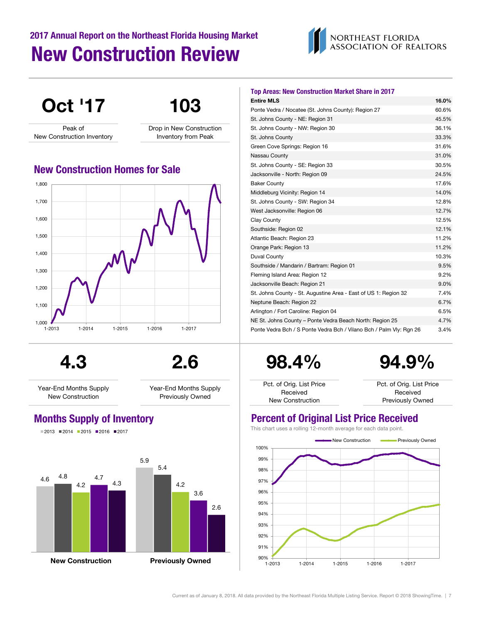# 2017 Annual Report on the Northeast Florida Housing Market New Construction Review



## Oct '17 103 Peak of New Construction Inventory Drop in New Construction Inventory from Peak  $1,000$   $1-2013$ 1,100 1,200 1,300 1,400 1,500 1,600 1,700 1,800 1-2013 1-2014 1-2015 1-2016 1-2017 New Construction Homes for Sale

4.3 2.6

Year-End Months Supply New Construction

Year-End Months Supply Previously Owned

 $2013$  2014 2015 2016 2017



| <b>Top Areas: New Construction Market Share in 2017</b>             |       |
|---------------------------------------------------------------------|-------|
| <b>Entire MLS</b>                                                   | 16.0% |
| Ponte Vedra / Nocatee (St. Johns County): Region 27                 | 60.6% |
| St. Johns County - NE: Region 31                                    | 45.5% |
| St. Johns County - NW: Region 30                                    | 36.1% |
| St. Johns County                                                    | 33.3% |
| Green Cove Springs: Region 16                                       | 31.6% |
| Nassau County                                                       | 31.0% |
| St. Johns County - SE: Region 33                                    | 30.5% |
| Jacksonville - North: Region 09                                     | 24.5% |
| <b>Baker County</b>                                                 | 17.6% |
| Middleburg Vicinity: Region 14                                      | 14.0% |
| St. Johns County - SW: Region 34                                    | 12.8% |
| West Jacksonville: Region 06                                        | 12.7% |
| Clay County                                                         | 12.5% |
| Southside: Region 02                                                | 12.1% |
| Atlantic Beach: Region 23                                           | 11.2% |
| Orange Park: Region 13                                              | 11.2% |
| Duval County                                                        | 10.3% |
| Southside / Mandarin / Bartram: Region 01                           | 9.5%  |
| Fleming Island Area: Region 12                                      | 9.2%  |
| Jacksonville Beach: Region 21                                       | 9.0%  |
| St. Johns County - St. Augustine Area - East of US 1: Region 32     | 7.4%  |
| Neptune Beach: Region 22                                            | 6.7%  |
| Arlington / Fort Caroline: Region 04                                | 6.5%  |
| NE St. Johns County - Ponte Vedra Beach North: Region 25            | 4.7%  |
| Ponte Vedra Bch / S Ponte Vedra Bch / Vilano Bch / Palm Vly: Rgn 26 | 3.4%  |

98.4%

94.9%

Pct. of Orig. List Price Received New Construction

Pct. of Orig. List Price Received Previously Owned

## Months Supply of Inventory **Percent of Original List Price Received**

This chart uses a rolling 12-month average for each data point.

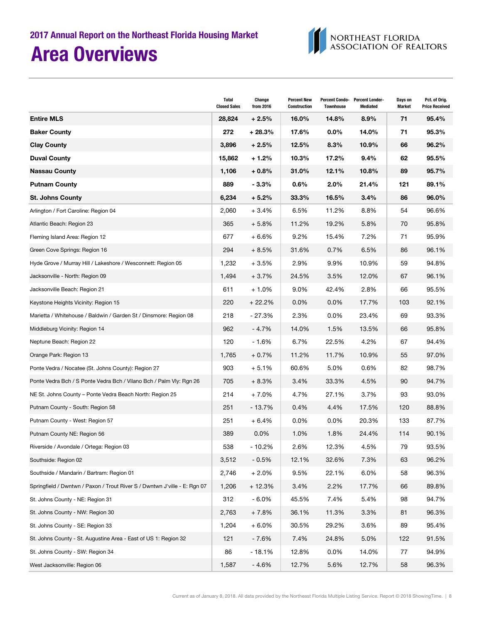

|                                                                           | Total<br><b>Closed Sales</b> | Change<br>from 2016 | <b>Percent New</b><br><b>Construction</b> | <b>Townhouse</b> | Percent Condo- Percent Lender-<br><b>Mediated</b> | Days on<br><b>Market</b> | Pct. of Orig.<br><b>Price Received</b> |
|---------------------------------------------------------------------------|------------------------------|---------------------|-------------------------------------------|------------------|---------------------------------------------------|--------------------------|----------------------------------------|
| <b>Entire MLS</b>                                                         | 28,824                       | $+2.5%$             | 16.0%                                     | 14.8%            | $8.9\%$                                           | 71                       | 95.4%                                  |
| <b>Baker County</b>                                                       | 272                          | $+28.3%$            | 17.6%                                     | $0.0\%$          | 14.0%                                             | 71                       | 95.3%                                  |
| <b>Clay County</b>                                                        | 3,896                        | $+2.5%$             | 12.5%                                     | 8.3%             | 10.9%                                             | 66                       | 96.2%                                  |
| <b>Duval County</b>                                                       | 15,862                       | $+1.2%$             | 10.3%                                     | 17.2%            | $9.4\%$                                           | 62                       | 95.5%                                  |
| <b>Nassau County</b>                                                      | 1,106                        | $+0.8%$             | 31.0%                                     | 12.1%            | 10.8%                                             | 89                       | 95.7%                                  |
| <b>Putnam County</b>                                                      | 889                          | - 3.3%              | $0.6\%$                                   | 2.0%             | 21.4%                                             | 121                      | 89.1%                                  |
| <b>St. Johns County</b>                                                   | 6,234                        | $+5.2%$             | 33.3%                                     | 16.5%            | $3.4\%$                                           | 86                       | 96.0%                                  |
| Arlington / Fort Caroline: Region 04                                      | 2,060                        | $+3.4%$             | 6.5%                                      | 11.2%            | 8.8%                                              | 54                       | 96.6%                                  |
| Atlantic Beach: Region 23                                                 | 365                          | $+5.8%$             | 11.2%                                     | 19.2%            | 5.8%                                              | 70                       | 95.8%                                  |
| Fleming Island Area: Region 12                                            | 677                          | $+6.6%$             | 9.2%                                      | 15.4%            | 7.2%                                              | 71                       | 95.9%                                  |
| Green Cove Springs: Region 16                                             | 294                          | $+8.5%$             | 31.6%                                     | 0.7%             | 6.5%                                              | 86                       | 96.1%                                  |
| Hyde Grove / Murray Hill / Lakeshore / Wesconnett: Region 05              | 1,232                        | $+3.5%$             | 2.9%                                      | 9.9%             | 10.9%                                             | 59                       | 94.8%                                  |
| Jacksonville - North: Region 09                                           | 1,494                        | $+3.7%$             | 24.5%                                     | 3.5%             | 12.0%                                             | 67                       | 96.1%                                  |
| Jacksonville Beach: Region 21                                             | 611                          | $+1.0%$             | 9.0%                                      | 42.4%            | 2.8%                                              | 66                       | 95.5%                                  |
| Keystone Heights Vicinity: Region 15                                      | 220                          | $+22.2%$            | $0.0\%$                                   | $0.0\%$          | 17.7%                                             | 103                      | 92.1%                                  |
| Marietta / Whitehouse / Baldwin / Garden St / Dinsmore: Region 08         | 218                          | $-27.3%$            | 2.3%                                      | 0.0%             | 23.4%                                             | 69                       | 93.3%                                  |
| Middleburg Vicinity: Region 14                                            | 962                          | $-4.7%$             | 14.0%                                     | 1.5%             | 13.5%                                             | 66                       | 95.8%                                  |
| Neptune Beach: Region 22                                                  | 120                          | $-1.6%$             | 6.7%                                      | 22.5%            | 4.2%                                              | 67                       | 94.4%                                  |
| Orange Park: Region 13                                                    | 1,765                        | $+0.7%$             | 11.2%                                     | 11.7%            | 10.9%                                             | 55                       | 97.0%                                  |
| Ponte Vedra / Nocatee (St. Johns County): Region 27                       | 903                          | $+5.1%$             | 60.6%                                     | 5.0%             | 0.6%                                              | 82                       | 98.7%                                  |
| Ponte Vedra Bch / S Ponte Vedra Bch / Vilano Bch / Palm Vly: Rgn 26       | 705                          | $+8.3%$             | 3.4%                                      | 33.3%            | 4.5%                                              | 90                       | 94.7%                                  |
| NE St. Johns County – Ponte Vedra Beach North: Region 25                  | 214                          | $+7.0%$             | 4.7%                                      | 27.1%            | 3.7%                                              | 93                       | 93.0%                                  |
| Putnam County - South: Region 58                                          | 251                          | - 13.7%             | 0.4%                                      | 4.4%             | 17.5%                                             | 120                      | 88.8%                                  |
| Putnam County - West: Region 57                                           | 251                          | $+6.4%$             | $0.0\%$                                   | 0.0%             | 20.3%                                             | 133                      | 87.7%                                  |
| Putnam County NE: Region 56                                               | 389                          | 0.0%                | 1.0%                                      | 1.8%             | 24.4%                                             | 114                      | 90.1%                                  |
| Riverside / Avondale / Ortega: Region 03                                  | 538                          | $-10.2%$            | 2.6%                                      | 12.3%            | 4.5%                                              | 79                       | 93.5%                                  |
| Southside: Region 02                                                      | 3,512                        | $-0.5%$             | 12.1%                                     | 32.6%            | 7.3%                                              | 63                       | 96.2%                                  |
| Southside / Mandarin / Bartram: Region 01                                 | 2,746                        | $+2.0%$             | 9.5%                                      | 22.1%            | 6.0%                                              | 58                       | 96.3%                                  |
| Springfield / Dwntwn / Paxon / Trout River S / Dwntwn J'ville - E: Rgn 07 | 1,206                        | $+12.3%$            | 3.4%                                      | 2.2%             | 17.7%                                             | 66                       | 89.8%                                  |
| St. Johns County - NE: Region 31                                          | 312                          | $-6.0%$             | 45.5%                                     | 7.4%             | 5.4%                                              | 98                       | 94.7%                                  |
| St. Johns County - NW: Region 30                                          | 2,763                        | $+7.8%$             | 36.1%                                     | 11.3%            | 3.3%                                              | 81                       | 96.3%                                  |
| St. Johns County - SE: Region 33                                          | 1,204                        | $+6.0%$             | 30.5%                                     | 29.2%            | 3.6%                                              | 89                       | 95.4%                                  |
| St. Johns County - St. Augustine Area - East of US 1: Region 32           | 121                          | $-7.6%$             | 7.4%                                      | 24.8%            | 5.0%                                              | 122                      | 91.5%                                  |
| St. Johns County - SW: Region 34                                          | 86                           | $-18.1%$            | 12.8%                                     | 0.0%             | 14.0%                                             | 77                       | 94.9%                                  |
| West Jacksonville: Region 06                                              | 1,587                        | $-4.6%$             | 12.7%                                     | 5.6%             | 12.7%                                             | 58                       | 96.3%                                  |